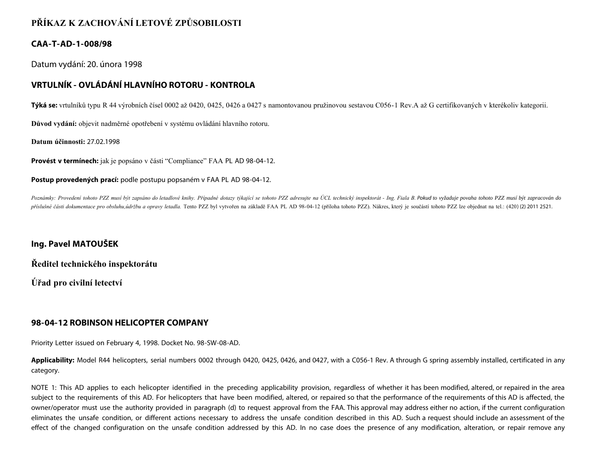# **PŘÍKAZ K ZACHOVÁNÍ LETOVÉ ZPŮSOBILOSTI**

### **CAA-T-AD-1-008/98**

Datum vydání: 20. února 1998

## **VRTULNÍK - OVLÁDÁNÍ HLAVNÍHO ROTORU - KONTROLA**

**Týká se:** vrtulníků typu R 44 výrobních čísel 0002 až 0420, 0425, 0426 a 0427 s namontovanou pružinovou sestavou C056-1 Rev.A až G certifikovaných v kterékoliv kategorii.

**Důvod vydání:** objevit nadměrné opotřebení v systému ovládání hlavního rotoru.

**Datum účinnosti:** 27.02.1998

**Provést v termínech:** jak je popsáno v části "Compliance" FAA PL AD 98-04-12.

**Postup provedených prací:** podle postupu popsaném v FAA PL AD 98-04-12.

Poznámky: Provedení tohoto PZZ musí být zapsáno do letadlové knihy. Případné dotazy týkající se tohoto PZZ adresujte na ÚCL technický inspektorát - Ing. Fiala B. Pokud to vyžaduje povaha tohoto PZZ musí být zapracován do příslušné části dokumentace pro obsluhu,údržbu a opravy letadla. Tento PZZ byl vytvořen na základě FAA PL AD 98-04-12 (příloha tohoto PZZ). Nákres, který je součástí tohoto PZZ lze objednat na tel.: (420) (2) 2011 2521.

### **Ing. Pavel MATOUŠEK**

**Ředitel technického inspektorátu**

**Úřad pro civilní letectví**

#### **98-04-12 ROBINSON HELICOPTER COMPANY**

Priority Letter issued on February 4, 1998. Docket No. 98-SW-08-AD.

**Applicability:** Model R44 helicopters, serial numbers 0002 through 0420, 0425, 0426, and 0427, with a C056-1 Rev. A through G spring assembly installed, certificated in any category.

NOTE 1: This AD applies to each helicopter identified in the preceding applicability provision, regardless of whether it has been modified, altered, or repaired in the area subject to the requirements of this AD. For helicopters that have been modified, altered, or repaired so that the performance of the requirements of this AD is affected, the owner/operator must use the authority provided in paragraph (d) to request approval from the FAA. This approval may address either no action, if the current configuration eliminates the unsafe condition, or different actions necessary to address the unsafe condition described in this AD. Such a request should include an assessment of the effect of the changed configuration on the unsafe condition addressed by this AD. In no case does the presence of any modification, alteration, or repair remove any